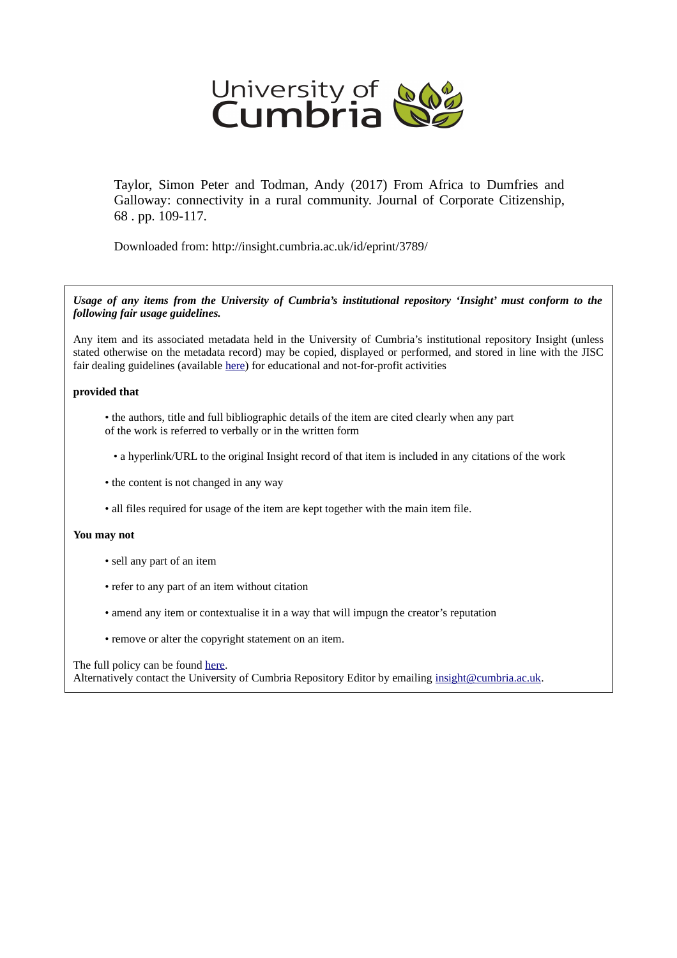

Taylor, Simon Peter and Todman, Andy (2017) From Africa to Dumfries and Galloway: connectivity in a rural community. Journal of Corporate Citizenship, 68 . pp. 109-117.

Downloaded from: http://insight.cumbria.ac.uk/id/eprint/3789/

*Usage of any items from the University of Cumbria's institutional repository 'Insight' must conform to the following fair usage guidelines.*

Any item and its associated metadata held in the University of Cumbria's institutional repository Insight (unless stated otherwise on the metadata record) may be copied, displayed or performed, and stored in line with the JISC fair dealing guidelines (available [here\)](http://www.ukoln.ac.uk/services/elib/papers/pa/fair/) for educational and not-for-profit activities

### **provided that**

• the authors, title and full bibliographic details of the item are cited clearly when any part of the work is referred to verbally or in the written form

• a hyperlink/URL to the original Insight record of that item is included in any citations of the work

- the content is not changed in any way
- all files required for usage of the item are kept together with the main item file.

### **You may not**

- sell any part of an item
- refer to any part of an item without citation
- amend any item or contextualise it in a way that will impugn the creator's reputation
- remove or alter the copyright statement on an item.

#### The full policy can be found [here.](http://insight.cumbria.ac.uk/legal.html#section5)

Alternatively contact the University of Cumbria Repository Editor by emailing [insight@cumbria.ac.uk.](mailto:insight@cumbria.ac.uk)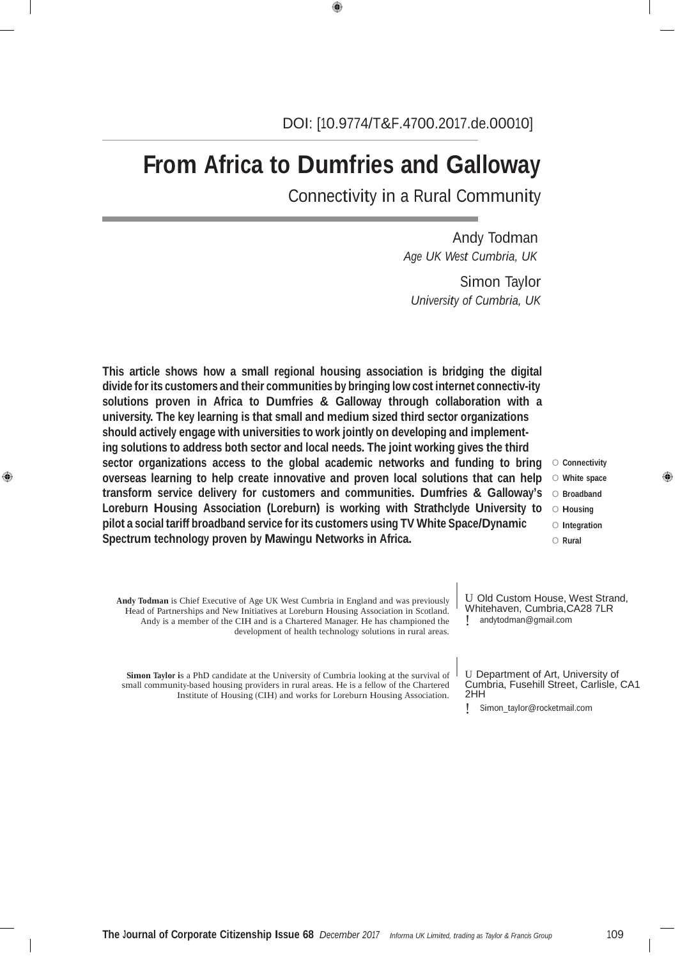# **From Africa to Dumfries and Galloway**

Connectivity in a Rural Community

Andy Todman *Age UK West Cumbria, UK*

Simon Taylor *University of Cumbria, UK*

**This article shows how a small regional housing association is bridging the digital divide forits customers and their communities by bringing low cost internet connectiv-ity solutions proven in Africa to Dumfries & Galloway through collaboration with a university. The key learning is that small and medium sized third sector organizations should actively engage with universities to work jointly on developing and implementing solutions to address both sector and local needs. The joint working gives the third sector organizations access to the global academic networks and funding to bring overseas learning to help create innovative and proven local solutions that can help transform service delivery for customers and communities. Dumfries & Galloway's Loreburn Housing Association (Loreburn) is working with Strathclyde University to pilot a social tariff broadband service for its customers using TV White Space/Dynamic Spectrum technology proven by Mawingu Networks in Africa.**

**Andy Todman** is Chief Executive of Age UK West Cumbria in England and was previously Head of Partnerships and New Initiatives at Loreburn Housing Association in Scotland. Andy is a member of the CIH and is a Chartered Manager. He has championed the U Old Custom House, West Strand, Whitehaven, Cumbria,CA28 7LR ! andytodman@gmail.com

O **Connectivity** O **White space** O **Broadband** O **Housing** O **Integration** O **Rural**

**Simon Taylor i**s a PhD candidate at the University of Cumbria looking at the survival of small community-based housing providers in rural areas. He is a fellow of the Chartered Institute of Housing (CIH) and works for Loreburn Housing Association.

GB)

U Department of Art, University of Cumbria, Fusehill Street, Carlisle, CA1 2HH

! Simon\_taylor@rocketmail.com

development of health technology solutions in rural areas.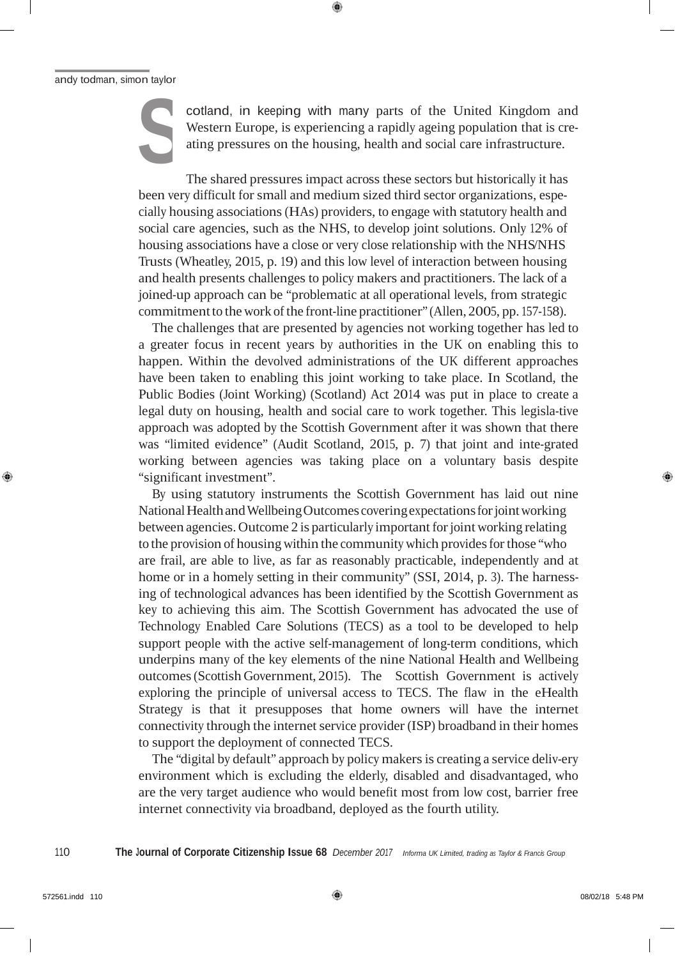#### andy todman, simon taylor

**S**

cotland, in keeping with many parts of the United Kingdom and Western Europe, is experiencing a rapidly ageing population that is creating pressures on the housing, health and social care infrastructure.

The shared pressures impact across these sectors but historically it has been very difficult for small and medium sized third sector organizations, especially housing associations(HAs) providers, to engage with statutory health and social care agencies, such as the NHS, to develop joint solutions. Only 12% of housing associations have a close or very close relationship with the NHS/NHS Trusts (Wheatley, 2015, p. 19) and this low level of interaction between housing and health presents challenges to policy makers and practitioners. The lack of a joined-up approach can be "problematic at all operational levels, from strategic commitment to the work of the front-line practitioner" (Allen, 2005, pp. 157-158).

The challenges that are presented by agencies not working together has led to a greater focus in recent years by authorities in the UK on enabling this to happen. Within the devolved administrations of the UK different approaches have been taken to enabling this joint working to take place. In Scotland, the Public Bodies (Joint Working) (Scotland) Act 2014 was put in place to create a legal duty on housing, health and social care to work together. This legisla-tive approach was adopted by the Scottish Government after it was shown that there was "limited evidence" (Audit Scotland, 2015, p. 7) that joint and inte-grated working between agencies was taking place on a voluntary basis despite "significant investment".

By using statutory instruments the Scottish Government has laid out nine National Health and Wellbeing Outcomes covering expectations for joint working between agencies. Outcome 2 is particularly important forjoint working relating to the provision of housing within the community which provides for those "who are frail, are able to live, as far as reasonably practicable, independently and at home or in a homely setting in their community" (SSI, 2014, p. 3). The harnessing of technological advances has been identified by the Scottish Government as key to achieving this aim. The Scottish Government has advocated the use of Technology Enabled Care Solutions (TECS) as a tool to be developed to help support people with the active self-management of long-term conditions, which underpins many of the key elements of the nine National Health and Wellbeing outcomes(Scottish Government, 2015). The Scottish Government is actively exploring the principle of universal access to TECS. The flaw in the eHealth Strategy is that it presupposes that home owners will have the internet connectivity through the internet service provider (ISP) broadband in their homes to support the deployment of connected TECS.

The "digital by default" approach by policy makersis creating a service deliv-ery environment which is excluding the elderly, disabled and disadvantaged, who are the very target audience who would benefit most from low cost, barrier free internet connectivity via broadband, deployed as the fourth utility.

110 The Journal of Corporate Citizenship Issue 68 December 2017 Informa UK Limited, trading as Taylor & Francis Group

GB.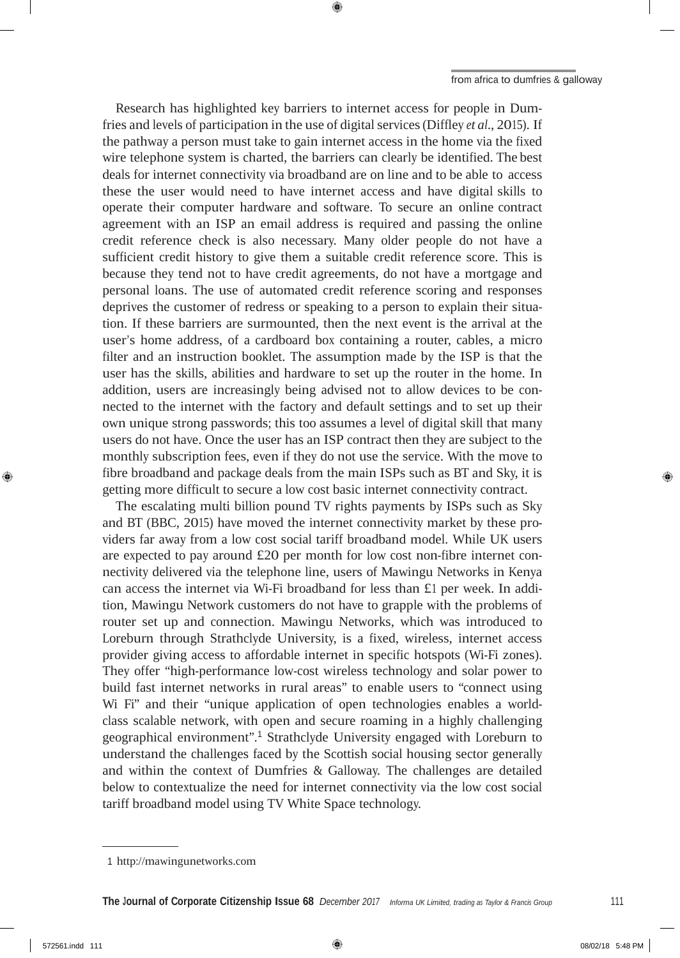Research has highlighted key barriers to internet access for people in Dumfries and levels of participation in the use of digital services(Diffley *et al*., 2015). If the pathway a person must take to gain internet access in the home via the fixed wire telephone system is charted, the barriers can clearly be identified. The best deals for internet connectivity via broadband are on line and to be able to access these the user would need to have internet access and have digital skills to operate their computer hardware and software. To secure an online contract agreement with an ISP an email address is required and passing the online credit reference check is also necessary. Many older people do not have a sufficient credit history to give them a suitable credit reference score. This is because they tend not to have credit agreements, do not have a mortgage and personal loans. The use of automated credit reference scoring and responses deprives the customer of redress or speaking to a person to explain their situation. If these barriers are surmounted, then the next event is the arrival at the user's home address, of a cardboard box containing a router, cables, a micro filter and an instruction booklet. The assumption made by the ISP is that the user has the skills, abilities and hardware to set up the router in the home. In addition, users are increasingly being advised not to allow devices to be connected to the internet with the factory and default settings and to set up their own unique strong passwords; this too assumes a level of digital skill that many users do not have. Once the user has an ISP contract then they are subject to the monthly subscription fees, even if they do not use the service. With the move to fibre broadband and package deals from the main ISPs such as BT and Sky, it is getting more difficult to secure a low cost basic internet connectivity contract.

The escalating multi billion pound TV rights payments by ISPs such as Sky and BT (BBC, 2015) have moved the internet connectivity market by these providers far away from a low cost social tariff broadband model. While UK users are expected to pay around £20 per month for low cost non-fibre internet connectivity delivered via the telephone line, users of Mawingu Networks in Kenya can access the internet via Wi-Fi broadband for less than £1 per week. In addition, Mawingu Network customers do not have to grapple with the problems of router set up and connection. Mawingu Networks, which was introduced to Loreburn through Strathclyde University, is a fixed, wireless, internet access provider giving access to affordable internet in specific hotspots (Wi-Fi zones). They offer "high-performance low-cost wireless technology and solar power to build fast internet networks in rural areas" to enable users to "connect using Wi Fi" and their "unique application of open technologies enables a worldclass scalable network, with open and secure roaming in a highly challenging geographical environment". <sup>1</sup> Strathclyde University engaged with Loreburn to understand the challenges faced by the Scottish social housing sector generally and within the context of Dumfries & Galloway. The challenges are detailed below to contextualize the need for internet connectivity via the low cost social tariff broadband model using TV White Space technology.

GB)

<sup>1</sup> http://mawingunetworks.com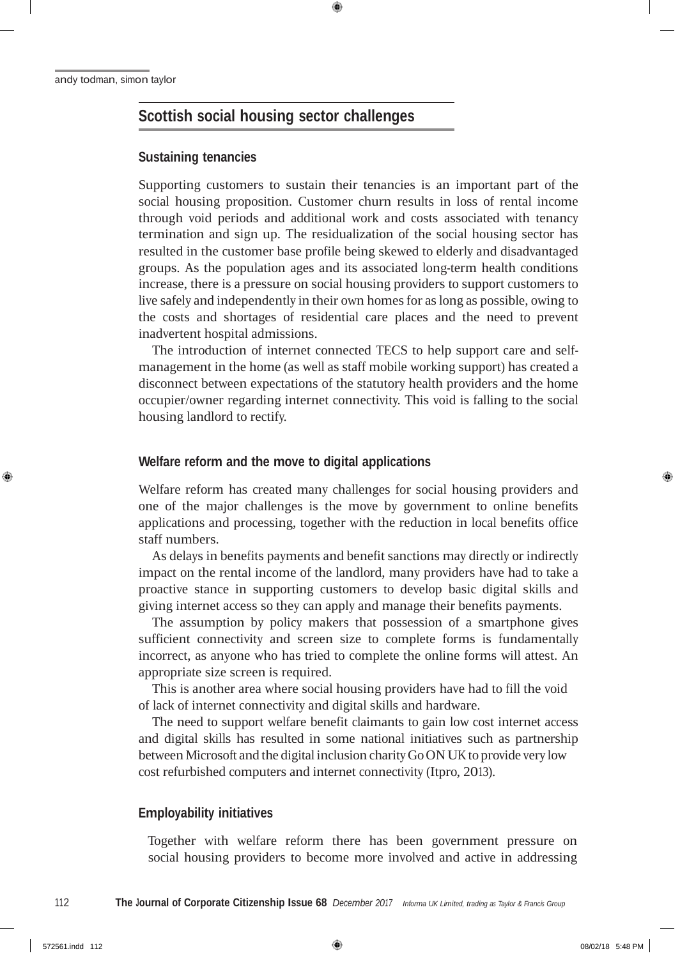## **Scottish social housing sector challenges**

#### **Sustaining tenancies**

Supporting customers to sustain their tenancies is an important part of the social housing proposition. Customer churn results in loss of rental income through void periods and additional work and costs associated with tenancy termination and sign up. The residualization of the social housing sector has resulted in the customer base profile being skewed to elderly and disadvantaged groups. As the population ages and its associated long-term health conditions increase, there is a pressure on social housing providers to support customers to live safely and independently in their own homes for as long as possible, owing to the costs and shortages of residential care places and the need to prevent inadvertent hospital admissions.

The introduction of internet connected TECS to help support care and selfmanagement in the home (as well as staff mobile working support) has created a disconnect between expectations of the statutory health providers and the home occupier/owner regarding internet connectivity. This void is falling to the social housing landlord to rectify.

#### **Welfare reform and the move to digital applications**

Welfare reform has created many challenges for social housing providers and one of the major challenges is the move by government to online benefits applications and processing, together with the reduction in local benefits office staff numbers.

As delays in benefits payments and benefit sanctions may directly or indirectly impact on the rental income of the landlord, many providers have had to take a proactive stance in supporting customers to develop basic digital skills and giving internet access so they can apply and manage their benefits payments.

The assumption by policy makers that possession of a smartphone gives sufficient connectivity and screen size to complete forms is fundamentally incorrect, as anyone who has tried to complete the online forms will attest. An appropriate size screen is required.

This is another area where social housing providers have had to fill the void of lack of internet connectivity and digital skills and hardware.

The need to support welfare benefit claimants to gain low cost internet access and digital skills has resulted in some national initiatives such as partnership between Microsoft and the digital inclusion charity Go ON UK to provide very low cost refurbished computers and internet connectivity (Itpro, 2013).

#### **Employability initiatives**

Together with welfare reform there has been government pressure on social housing providers to become more involved and active in addressing

GB)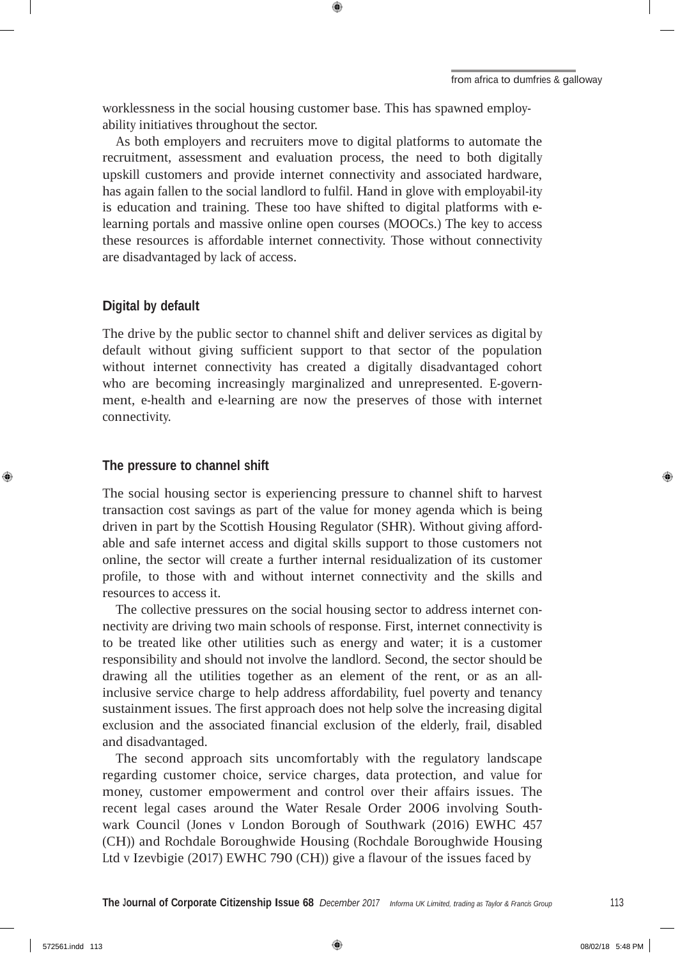worklessness in the social housing customer base. This has spawned employability initiatives throughout the sector.

As both employers and recruiters move to digital platforms to automate the recruitment, assessment and evaluation process, the need to both digitally upskill customers and provide internet connectivity and associated hardware, has again fallen to the social landlord to fulfil. Hand in glove with employabil-ity is education and training. These too have shifted to digital platforms with elearning portals and massive online open courses (MOOCs.) The key to access these resources is affordable internet connectivity. Those without connectivity are disadvantaged by lack of access.

#### **Digital by default**

The drive by the public sector to channel shift and deliver services as digital by default without giving sufficient support to that sector of the population without internet connectivity has created a digitally disadvantaged cohort who are becoming increasingly marginalized and unrepresented. E-government, e-health and e-learning are now the preserves of those with internet connectivity.

#### **The pressure to channel shift**

The social housing sector is experiencing pressure to channel shift to harvest transaction cost savings as part of the value for money agenda which is being driven in part by the Scottish Housing Regulator (SHR). Without giving affordable and safe internet access and digital skills support to those customers not online, the sector will create a further internal residualization of its customer profile, to those with and without internet connectivity and the skills and resources to access it.

The collective pressures on the social housing sector to address internet connectivity are driving two main schools of response. First, internet connectivity is to be treated like other utilities such as energy and water; it is a customer responsibility and should not involve the landlord. Second, the sector should be drawing all the utilities together as an element of the rent, or as an allinclusive service charge to help address affordability, fuel poverty and tenancy sustainment issues. The first approach does not help solve the increasing digital exclusion and the associated financial exclusion of the elderly, frail, disabled and disadvantaged.

The second approach sits uncomfortably with the regulatory landscape regarding customer choice, service charges, data protection, and value for money, customer empowerment and control over their affairs issues. The recent legal cases around the Water Resale Order 2006 involving Southwark Council (Jones v London Borough of Southwark (2016) EWHC 457 (CH)) and Rochdale Boroughwide Housing (Rochdale Boroughwide Housing Ltd v Izevbigie (2017) EWHC 790 (CH)) give a flavour of the issues faced by

GB)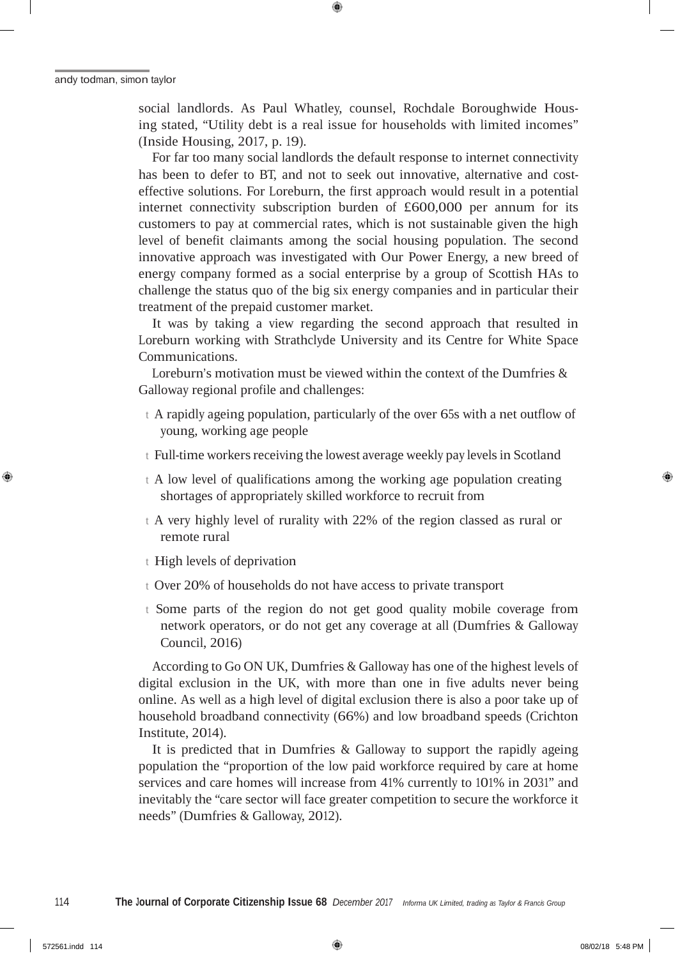social landlords. As Paul Whatley, counsel, Rochdale Boroughwide Housing stated, "Utility debt is a real issue for households with limited incomes" (Inside Housing, 2017, p. 19).

For far too many social landlords the default response to internet connectivity has been to defer to BT, and not to seek out innovative, alternative and costeffective solutions. For Loreburn, the first approach would result in a potential internet connectivity subscription burden of £600,000 per annum for its customers to pay at commercial rates, which is not sustainable given the high level of benefit claimants among the social housing population. The second innovative approach was investigated with Our Power Energy, a new breed of energy company formed as a social enterprise by a group of Scottish HAs to challenge the status quo of the big six energy companies and in particular their treatment of the prepaid customer market.

It was by taking a view regarding the second approach that resulted in Loreburn working with Strathclyde University and its Centre for White Space Communications.

Loreburn's motivation must be viewed within the context of the Dumfries & Galloway regional profile and challenges:

- <sup>t</sup> A rapidly ageing population, particularly of the over 65s with a net outflow of young, working age people
- t Full-time workers receiving the lowest average weekly pay levels in Scotland
- <sup>t</sup> A low level of qualifications among the working age population creating shortages of appropriately skilled workforce to recruit from
- <sup>t</sup> A very highly level of rurality with 22% of the region classed as rural or remote rural
- <sup>t</sup> High levels of deprivation
- <sup>t</sup> Over 20% of households do not have access to private transport
- <sup>t</sup> Some parts of the region do not get good quality mobile coverage from network operators, or do not get any coverage at all (Dumfries & Galloway Council, 2016)

According to Go ON UK, Dumfries & Galloway has one of the highest levels of digital exclusion in the UK, with more than one in five adults never being online. As well as a high level of digital exclusion there is also a poor take up of household broadband connectivity (66%) and low broadband speeds (Crichton Institute, 2014).

It is predicted that in Dumfries & Galloway to support the rapidly ageing population the "proportion of the low paid workforce required by care at home services and care homes will increase from 41% currently to 101% in 2031" and inevitably the "care sector will face greater competition to secure the workforce it needs" (Dumfries & Galloway, 2012).

❀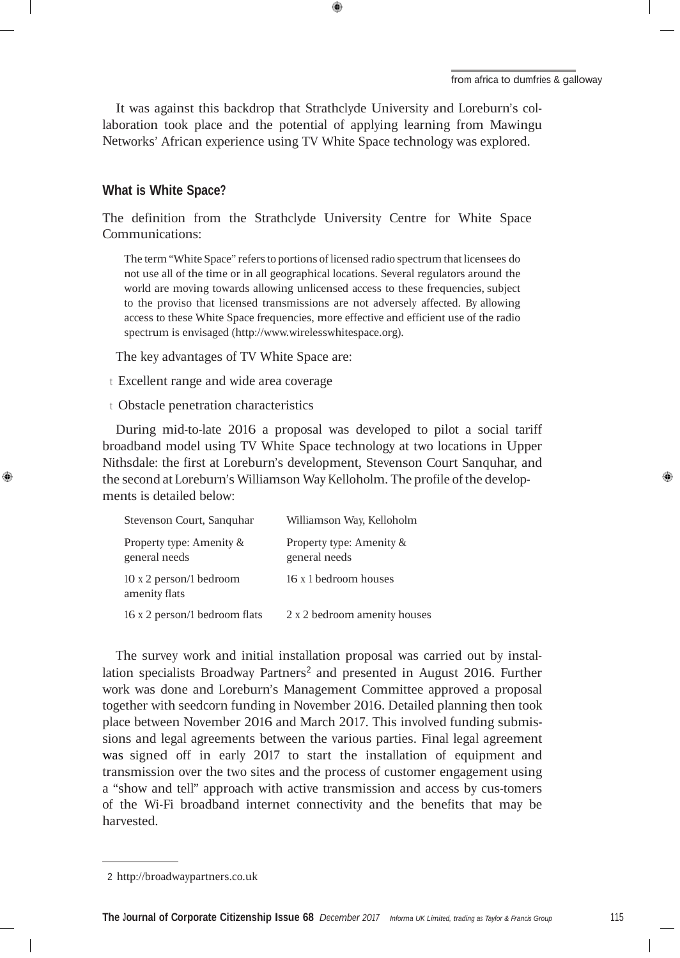It was against this backdrop that Strathclyde University and Loreburn's collaboration took place and the potential of applying learning from Mawingu Networks' African experience using TV White Space technology was explored.

#### **What is White Space?**

❀

The definition from the Strathclyde University Centre for White Space Communications:

The term "White Space" refersto portions of licensed radio spectrum that licensees do not use all of the time or in all geographical locations. Several regulators around the world are moving towards allowing unlicensed access to these frequencies, subject to the proviso that licensed transmissions are not adversely affected. By allowing access to these White Space frequencies, more effective and efficient use of the radio spectrum is envisaged (http://www.wirelesswhitespace.org).

The key advantages of TV White Space are:

<sup>t</sup> Excellent range and wide area coverage

<sup>t</sup> Obstacle penetration characteristics

During mid-to-late 2016 a proposal was developed to pilot a social tariff broadband model using TV White Space technology at two locations in Upper Nithsdale: the first at Loreburn's development, Stevenson Court Sanquhar, and the second at Loreburn's Williamson Way Kelloholm. The profile of the developments is detailed below:

| Stevenson Court, Sanguhar                 | Williamson Way, Kelloholm                 |
|-------------------------------------------|-------------------------------------------|
| Property type: Amenity &<br>general needs | Property type: Amenity &<br>general needs |
| 10 x 2 person/1 bedroom<br>amenity flats  | 16 x 1 bedroom houses                     |
| 16 x 2 person/1 bedroom flats             | 2 x 2 bedroom amenity houses              |

The survey work and initial installation proposal was carried out by installation specialists Broadway Partners<sup>2</sup> and presented in August 2016. Further work was done and Loreburn's Management Committee approved a proposal together with seedcorn funding in November 2016. Detailed planning then took place between November 2016 and March 2017. This involved funding submissions and legal agreements between the various parties. Final legal agreement was signed off in early 2017 to start the installation of equipment and transmission over the two sites and the process of customer engagement using a "show and tell" approach with active transmission and access by cus-tomers of the Wi-Fi broadband internet connectivity and the benefits that may be harvested.

<sup>2</sup> http://broadwaypartners.co.uk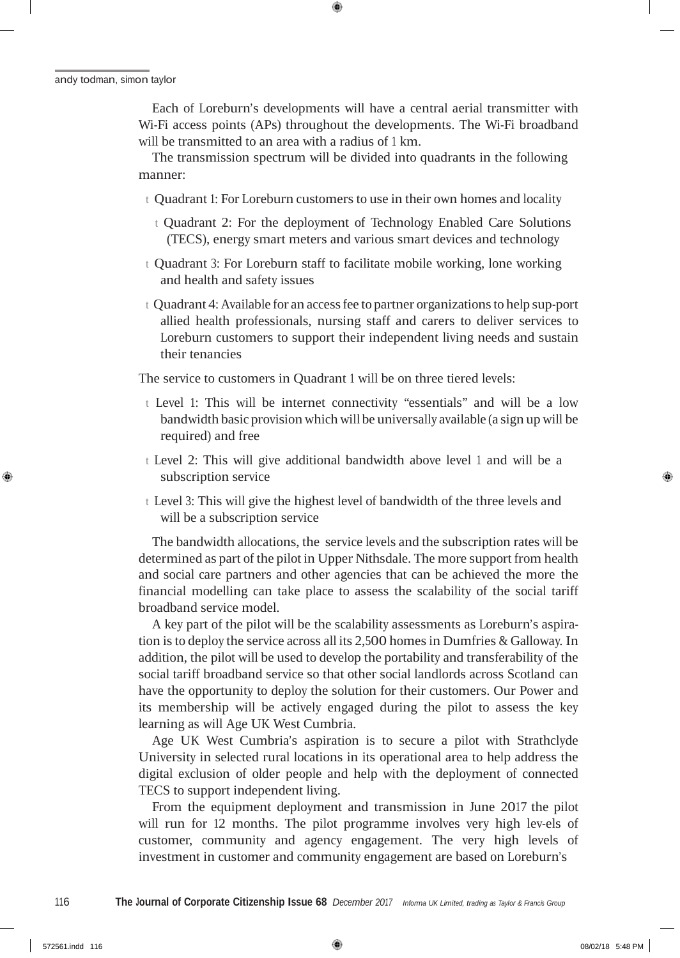andy todman, simon taylor

Each of Loreburn's developments will have a central aerial transmitter with Wi-Fi access points (APs) throughout the developments. The Wi-Fi broadband will be transmitted to an area with a radius of <sup>1</sup> km.

The transmission spectrum will be divided into quadrants in the following manner:

- t Quadrant 1: For Loreburn customers to use in their own homes and locality
	- <sup>t</sup> Quadrant 2: For the deployment of Technology Enabled Care Solutions (TECS), energy smart meters and various smart devices and technology
- <sup>t</sup> Quadrant 3: For Loreburn staff to facilitate mobile working, lone working and health and safety issues
- <sup>t</sup> Quadrant 4: Available for an accessfee to partner organizationsto help sup-port allied health professionals, nursing staff and carers to deliver services to Loreburn customers to support their independent living needs and sustain their tenancies

The service to customers in Quadrant <sup>1</sup> will be on three tiered levels:

- <sup>t</sup> Level 1: This will be internet connectivity "essentials" and will be a low bandwidth basic provision which will be universally available (a sign up will be required) and free
- <sup>t</sup> Level 2: This will give additional bandwidth above level <sup>1</sup> and will be a subscription service
- <sup>t</sup> Level 3: This will give the highest level of bandwidth of the three levels and will be a subscription service

The bandwidth allocations, the service levels and the subscription rates will be determined as part of the pilot in Upper Nithsdale. The more support from health and social care partners and other agencies that can be achieved the more the financial modelling can take place to assess the scalability of the social tariff broadband service model.

A key part of the pilot will be the scalability assessments as Loreburn's aspiration isto deploy the service across all its 2,500 homesin Dumfries & Galloway. In addition, the pilot will be used to develop the portability and transferability of the social tariff broadband service so that other social landlords across Scotland can have the opportunity to deploy the solution for their customers. Our Power and its membership will be actively engaged during the pilot to assess the key learning as will Age UK West Cumbria.

Age UK West Cumbria's aspiration is to secure a pilot with Strathclyde University in selected rural locations in its operational area to help address the digital exclusion of older people and help with the deployment of connected TECS to support independent living.

From the equipment deployment and transmission in June 2017 the pilot will run for 12 months. The pilot programme involves very high lev-els of customer, community and agency engagement. The very high levels of investment in customer and community engagement are based on Loreburn's

❀